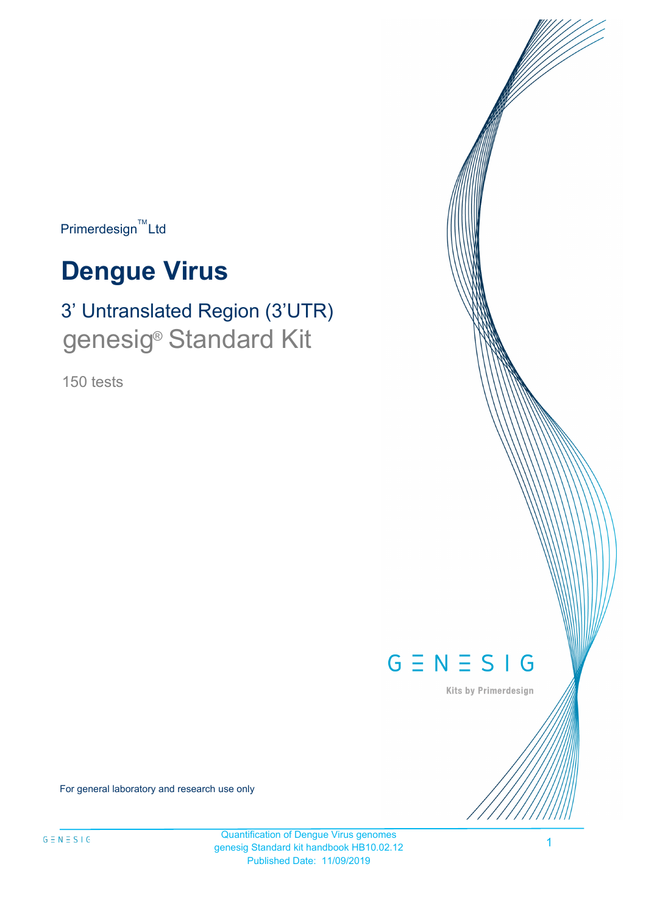$Primerdesign^{\text{TM}}$ Ltd

# **Dengue Virus**

## 3' Untranslated Region (3'UTR) genesig<sup>®</sup> Standard Kit

150 tests



Kits by Primerdesign

For general laboratory and research use only

Quantification of Dengue Virus genomes genesig Standard kit handbook HB10.02.12 Published Date: 11/09/2019

1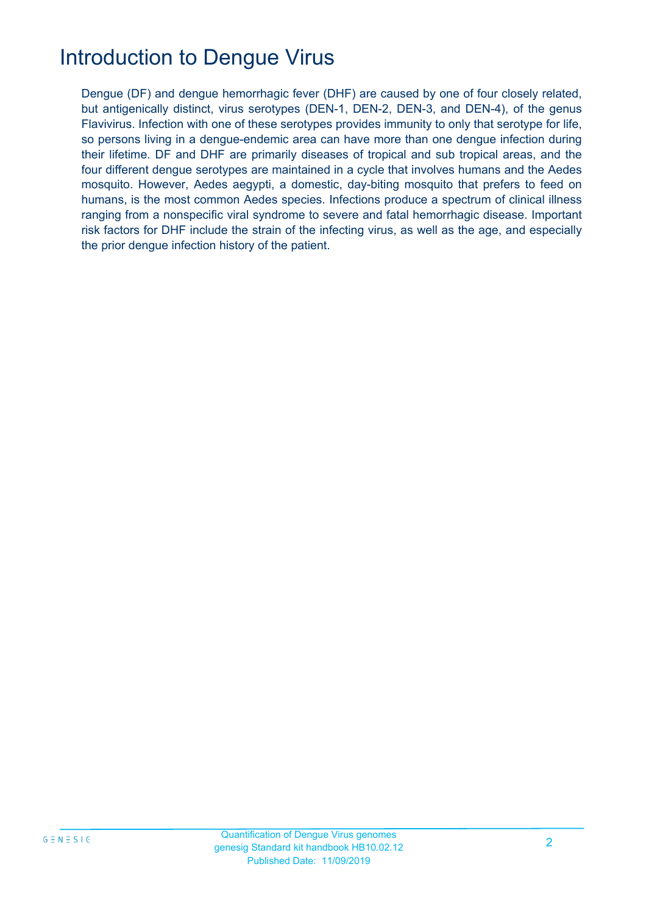## Introduction to Dengue Virus

Dengue (DF) and dengue hemorrhagic fever (DHF) are caused by one of four closely related, but antigenically distinct, virus serotypes (DEN-1, DEN-2, DEN-3, and DEN-4), of the genus Flavivirus. Infection with one of these serotypes provides immunity to only that serotype for life, so persons living in a dengue-endemic area can have more than one dengue infection during their lifetime. DF and DHF are primarily diseases of tropical and sub tropical areas, and the four different dengue serotypes are maintained in a cycle that involves humans and the Aedes mosquito. However, Aedes aegypti, a domestic, day-biting mosquito that prefers to feed on humans, is the most common Aedes species. Infections produce a spectrum of clinical illness ranging from a nonspecific viral syndrome to severe and fatal hemorrhagic disease. Important risk factors for DHF include the strain of the infecting virus, as well as the age, and especially the prior dengue infection history of the patient.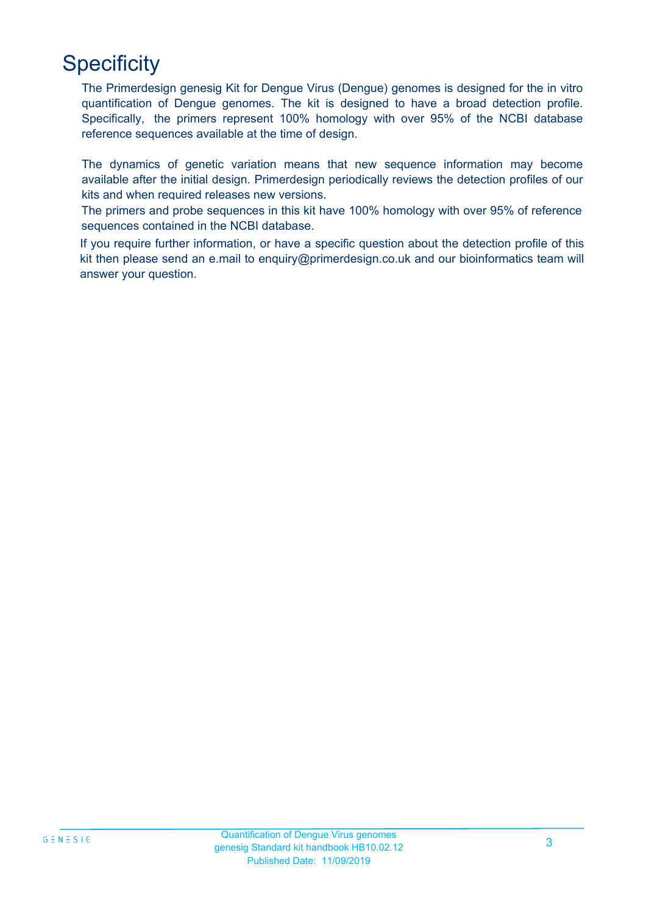## **Specificity**

The Primerdesign genesig Kit for Dengue Virus (Dengue) genomes is designed for the in vitro quantification of Dengue genomes. The kit is designed to have a broad detection profile. Specifically, the primers represent 100% homology with over 95% of the NCBI database reference sequences available at the time of design.

The dynamics of genetic variation means that new sequence information may become available after the initial design. Primerdesign periodically reviews the detection profiles of our kits and when required releases new versions.

The primers and probe sequences in this kit have 100% homology with over 95% of reference sequences contained in the NCBI database.

If you require further information, or have a specific question about the detection profile of this kit then please send an e.mail to enquiry@primerdesign.co.uk and our bioinformatics team will answer your question.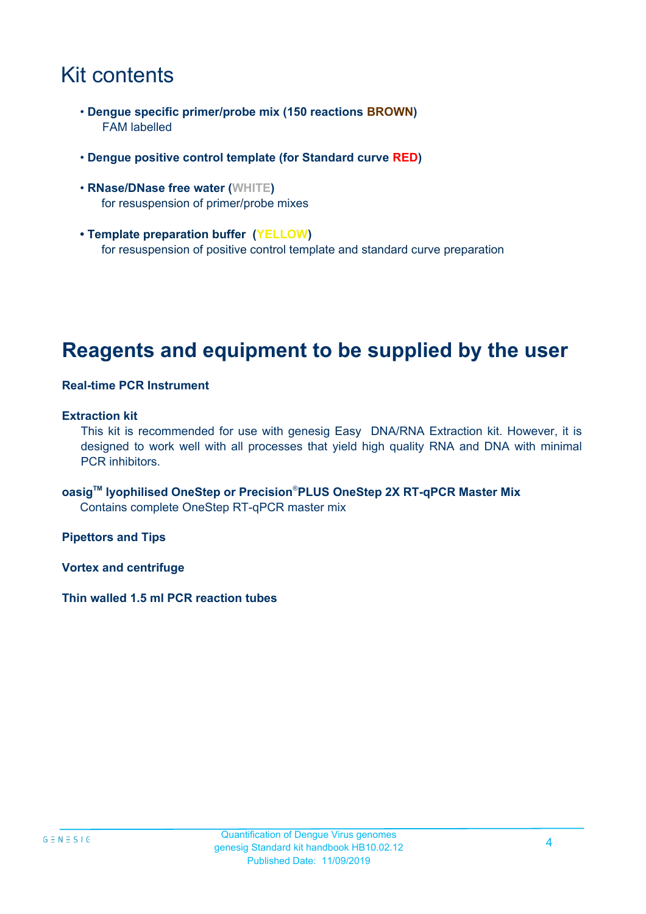## Kit contents

- **Dengue specific primer/probe mix (150 reactions BROWN)** FAM labelled
- **Dengue positive control template (for Standard curve RED)**
- **RNase/DNase free water (WHITE)** for resuspension of primer/probe mixes
- **Template preparation buffer (YELLOW)** for resuspension of positive control template and standard curve preparation

## **Reagents and equipment to be supplied by the user**

#### **Real-time PCR Instrument**

#### **Extraction kit**

This kit is recommended for use with genesig Easy DNA/RNA Extraction kit. However, it is designed to work well with all processes that yield high quality RNA and DNA with minimal PCR inhibitors.

**oasigTM lyophilised OneStep or Precision**®**PLUS OneStep 2X RT-qPCR Master Mix** Contains complete OneStep RT-qPCR master mix

**Pipettors and Tips**

**Vortex and centrifuge**

**Thin walled 1.5 ml PCR reaction tubes**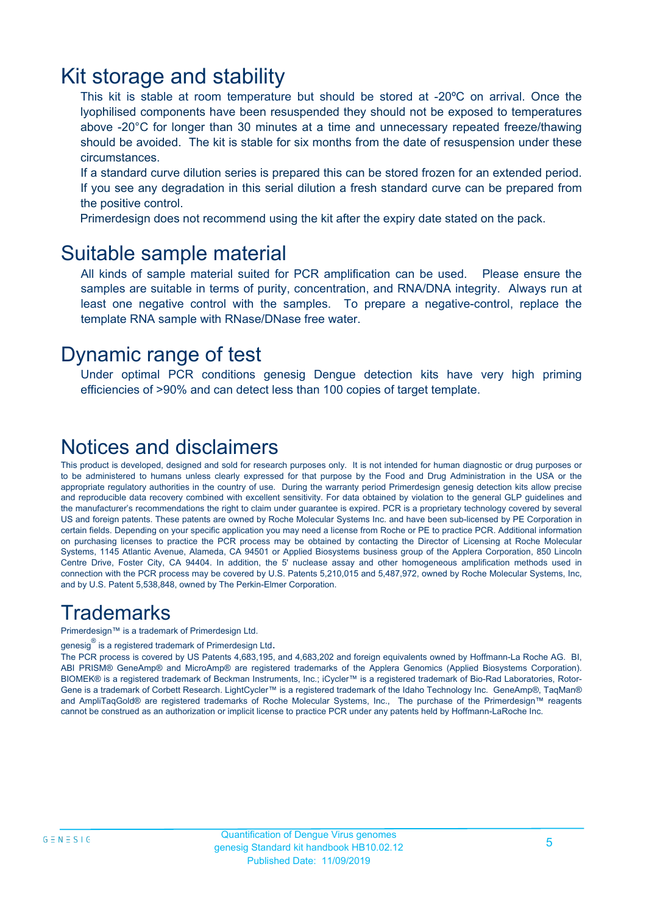### Kit storage and stability

This kit is stable at room temperature but should be stored at -20ºC on arrival. Once the lyophilised components have been resuspended they should not be exposed to temperatures above -20°C for longer than 30 minutes at a time and unnecessary repeated freeze/thawing should be avoided. The kit is stable for six months from the date of resuspension under these circumstances.

If a standard curve dilution series is prepared this can be stored frozen for an extended period. If you see any degradation in this serial dilution a fresh standard curve can be prepared from the positive control.

Primerdesign does not recommend using the kit after the expiry date stated on the pack.

### Suitable sample material

All kinds of sample material suited for PCR amplification can be used. Please ensure the samples are suitable in terms of purity, concentration, and RNA/DNA integrity. Always run at least one negative control with the samples. To prepare a negative-control, replace the template RNA sample with RNase/DNase free water.

### Dynamic range of test

Under optimal PCR conditions genesig Dengue detection kits have very high priming efficiencies of >90% and can detect less than 100 copies of target template.

### Notices and disclaimers

This product is developed, designed and sold for research purposes only. It is not intended for human diagnostic or drug purposes or to be administered to humans unless clearly expressed for that purpose by the Food and Drug Administration in the USA or the appropriate regulatory authorities in the country of use. During the warranty period Primerdesign genesig detection kits allow precise and reproducible data recovery combined with excellent sensitivity. For data obtained by violation to the general GLP guidelines and the manufacturer's recommendations the right to claim under guarantee is expired. PCR is a proprietary technology covered by several US and foreign patents. These patents are owned by Roche Molecular Systems Inc. and have been sub-licensed by PE Corporation in certain fields. Depending on your specific application you may need a license from Roche or PE to practice PCR. Additional information on purchasing licenses to practice the PCR process may be obtained by contacting the Director of Licensing at Roche Molecular Systems, 1145 Atlantic Avenue, Alameda, CA 94501 or Applied Biosystems business group of the Applera Corporation, 850 Lincoln Centre Drive, Foster City, CA 94404. In addition, the 5' nuclease assay and other homogeneous amplification methods used in connection with the PCR process may be covered by U.S. Patents 5,210,015 and 5,487,972, owned by Roche Molecular Systems, Inc, and by U.S. Patent 5,538,848, owned by The Perkin-Elmer Corporation.

### **Trademarks**

Primerdesign™ is a trademark of Primerdesign Ltd.

genesig $^\circledR$  is a registered trademark of Primerdesign Ltd.

The PCR process is covered by US Patents 4,683,195, and 4,683,202 and foreign equivalents owned by Hoffmann-La Roche AG. BI, ABI PRISM® GeneAmp® and MicroAmp® are registered trademarks of the Applera Genomics (Applied Biosystems Corporation). BIOMEK® is a registered trademark of Beckman Instruments, Inc.; iCycler™ is a registered trademark of Bio-Rad Laboratories, Rotor-Gene is a trademark of Corbett Research. LightCycler™ is a registered trademark of the Idaho Technology Inc. GeneAmp®, TaqMan® and AmpliTaqGold® are registered trademarks of Roche Molecular Systems, Inc., The purchase of the Primerdesign™ reagents cannot be construed as an authorization or implicit license to practice PCR under any patents held by Hoffmann-LaRoche Inc.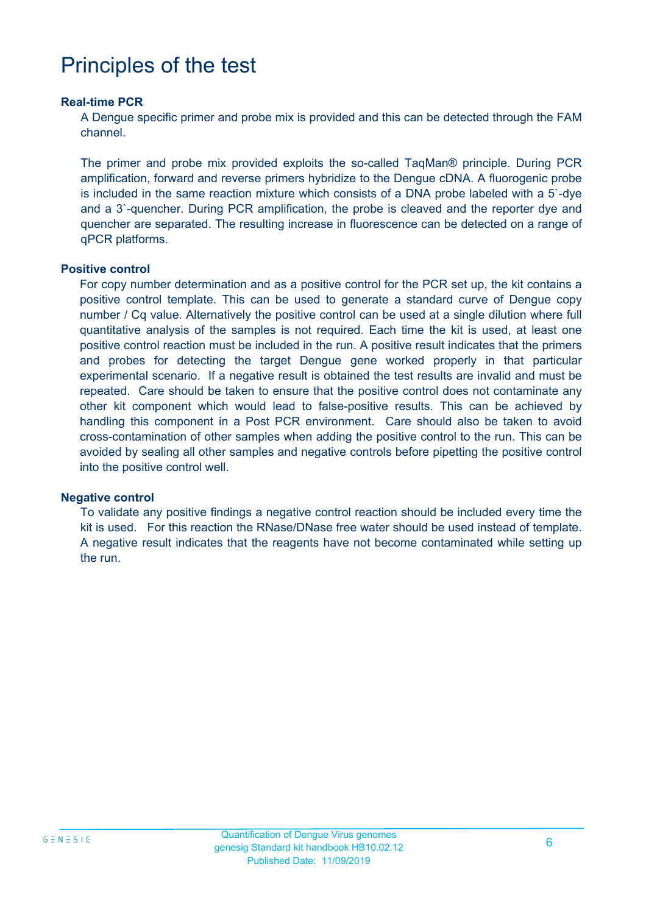## Principles of the test

#### **Real-time PCR**

A Dengue specific primer and probe mix is provided and this can be detected through the FAM channel.

The primer and probe mix provided exploits the so-called TaqMan® principle. During PCR amplification, forward and reverse primers hybridize to the Dengue cDNA. A fluorogenic probe is included in the same reaction mixture which consists of a DNA probe labeled with a 5`-dye and a 3`-quencher. During PCR amplification, the probe is cleaved and the reporter dye and quencher are separated. The resulting increase in fluorescence can be detected on a range of qPCR platforms.

#### **Positive control**

For copy number determination and as a positive control for the PCR set up, the kit contains a positive control template. This can be used to generate a standard curve of Dengue copy number / Cq value. Alternatively the positive control can be used at a single dilution where full quantitative analysis of the samples is not required. Each time the kit is used, at least one positive control reaction must be included in the run. A positive result indicates that the primers and probes for detecting the target Dengue gene worked properly in that particular experimental scenario. If a negative result is obtained the test results are invalid and must be repeated. Care should be taken to ensure that the positive control does not contaminate any other kit component which would lead to false-positive results. This can be achieved by handling this component in a Post PCR environment. Care should also be taken to avoid cross-contamination of other samples when adding the positive control to the run. This can be avoided by sealing all other samples and negative controls before pipetting the positive control into the positive control well.

#### **Negative control**

To validate any positive findings a negative control reaction should be included every time the kit is used. For this reaction the RNase/DNase free water should be used instead of template. A negative result indicates that the reagents have not become contaminated while setting up the run.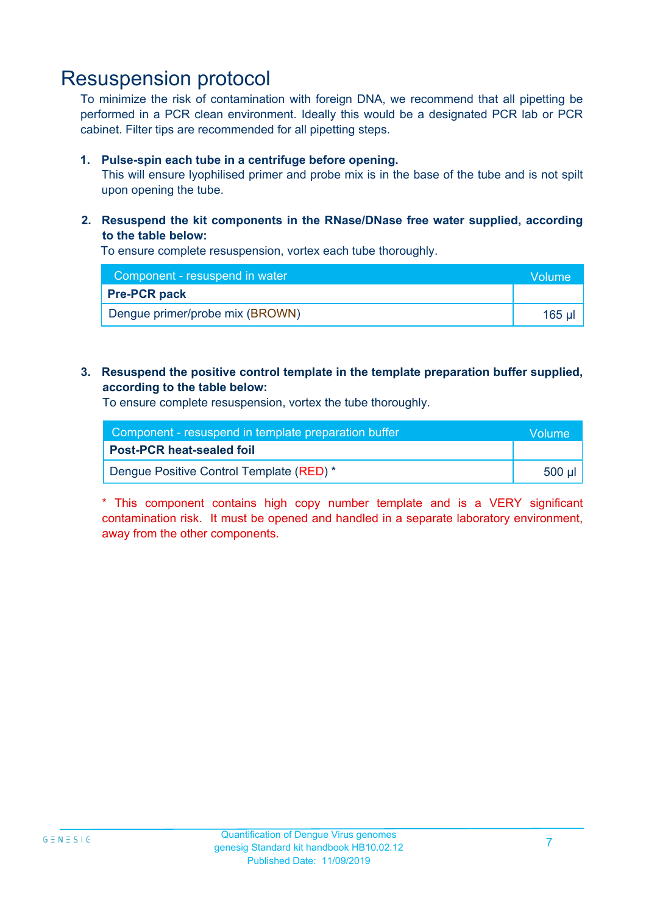### Resuspension protocol

To minimize the risk of contamination with foreign DNA, we recommend that all pipetting be performed in a PCR clean environment. Ideally this would be a designated PCR lab or PCR cabinet. Filter tips are recommended for all pipetting steps.

#### **1. Pulse-spin each tube in a centrifuge before opening.**

This will ensure lyophilised primer and probe mix is in the base of the tube and is not spilt upon opening the tube.

**2. Resuspend the kit components in the RNase/DNase free water supplied, according to the table below:**

To ensure complete resuspension, vortex each tube thoroughly.

| Component - resuspend in water  | <b>Volume</b> |
|---------------------------------|---------------|
| <b>Pre-PCR pack</b>             |               |
| Dengue primer/probe mix (BROWN) | 165 ul        |

#### **3. Resuspend the positive control template in the template preparation buffer supplied, according to the table below:**

To ensure complete resuspension, vortex the tube thoroughly.

| Component - resuspend in template preparation buffer |           |  |
|------------------------------------------------------|-----------|--|
| <b>Post-PCR heat-sealed foil</b>                     |           |  |
| Dengue Positive Control Template (RED) *             | .500 µl l |  |

\* This component contains high copy number template and is a VERY significant contamination risk. It must be opened and handled in a separate laboratory environment, away from the other components.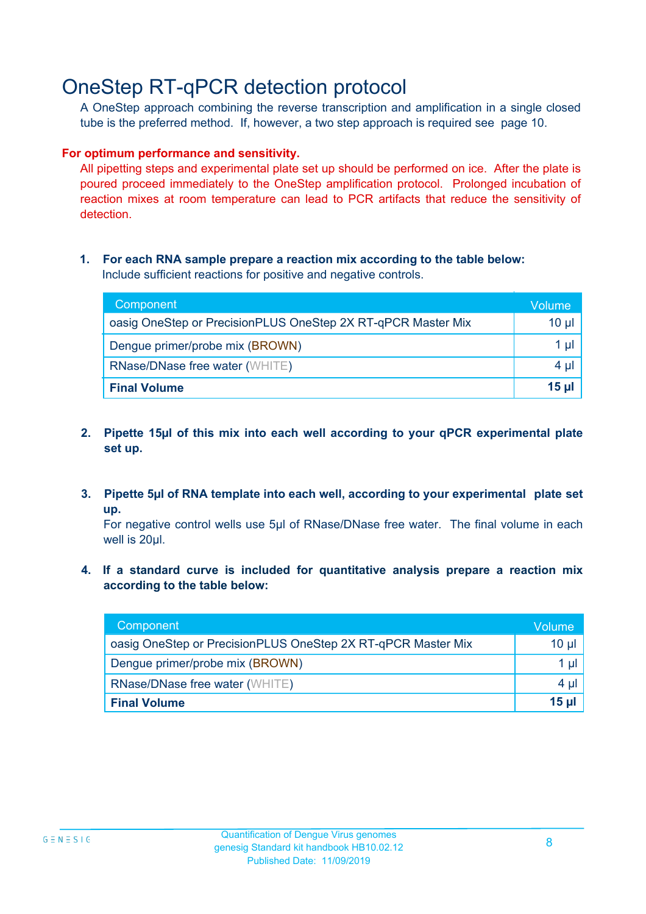## OneStep RT-qPCR detection protocol

A OneStep approach combining the reverse transcription and amplification in a single closed tube is the preferred method. If, however, a two step approach is required see page 10.

#### **For optimum performance and sensitivity.**

All pipetting steps and experimental plate set up should be performed on ice. After the plate is poured proceed immediately to the OneStep amplification protocol. Prolonged incubation of reaction mixes at room temperature can lead to PCR artifacts that reduce the sensitivity of detection.

#### **1. For each RNA sample prepare a reaction mix according to the table below:** Include sufficient reactions for positive and negative controls.

| Component                                                    | Volume       |
|--------------------------------------------------------------|--------------|
| oasig OneStep or PrecisionPLUS OneStep 2X RT-qPCR Master Mix | $10 \mu$     |
| Dengue primer/probe mix (BROWN)                              | 1 ul         |
| <b>RNase/DNase free water (WHITE)</b>                        | $4 \mu$      |
| <b>Final Volume</b>                                          | <u>15 µl</u> |

- **2. Pipette 15µl of this mix into each well according to your qPCR experimental plate set up.**
- **3. Pipette 5µl of RNA template into each well, according to your experimental plate set up.**

For negative control wells use 5µl of RNase/DNase free water. The final volume in each well is 20ul.

**4. If a standard curve is included for quantitative analysis prepare a reaction mix according to the table below:**

| Component                                                    | Volume          |
|--------------------------------------------------------------|-----------------|
| oasig OneStep or PrecisionPLUS OneStep 2X RT-qPCR Master Mix | 10 <sub>µ</sub> |
| Dengue primer/probe mix (BROWN)                              | 1 µl            |
| RNase/DNase free water (WHITE)                               | $4 \mu$         |
| <b>Final Volume</b>                                          | $15$ µ          |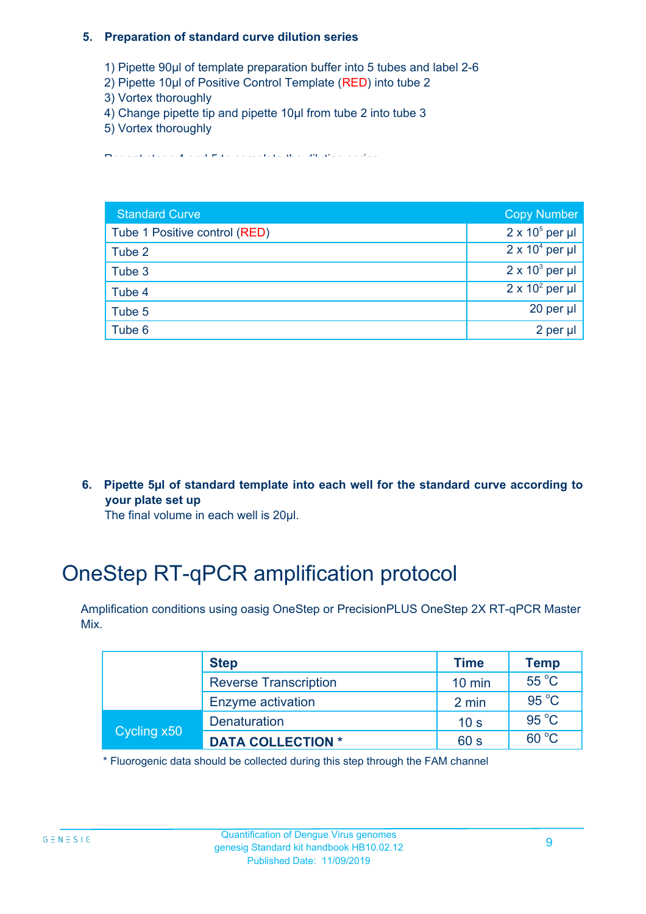#### **5. Preparation of standard curve dilution series**

- 1) Pipette 90µl of template preparation buffer into 5 tubes and label 2-6
- 2) Pipette 10µl of Positive Control Template (RED) into tube 2
- 3) Vortex thoroughly
- 4) Change pipette tip and pipette 10µl from tube 2 into tube 3
- 5) Vortex thoroughly

Repeat steps 4 and 5 to complete the dilution series

| <b>Standard Curve</b>         | <b>Copy Number</b>     |
|-------------------------------|------------------------|
| Tube 1 Positive control (RED) | $2 \times 10^5$ per µl |
| Tube 2                        | $2 \times 10^4$ per µl |
| Tube 3                        | $2 \times 10^3$ per µl |
| Tube 4                        | $2 \times 10^2$ per µl |
| Tube 5                        | 20 per $\mu$           |
| Tube 6                        | $2$ per $\mu$          |

**6. Pipette 5µl of standard template into each well for the standard curve according to your plate set up**

The final volume in each well is 20µl.

## OneStep RT-qPCR amplification protocol

Amplification conditions using oasig OneStep or PrecisionPLUS OneStep 2X RT-qPCR Master Mix.

| <b>Step</b> |                              | <b>Time</b>     | Temp           |
|-------------|------------------------------|-----------------|----------------|
|             | <b>Reverse Transcription</b> | $10$ min        | 55 °C          |
|             | Enzyme activation            | 2 min           | $95^{\circ}$ C |
| Cycling x50 | <b>Denaturation</b>          | 10 <sub>s</sub> | $95^{\circ}$ C |
|             | <b>DATA COLLECTION *</b>     | 60 s            | $60^{\circ}$ C |

\* Fluorogenic data should be collected during this step through the FAM channel